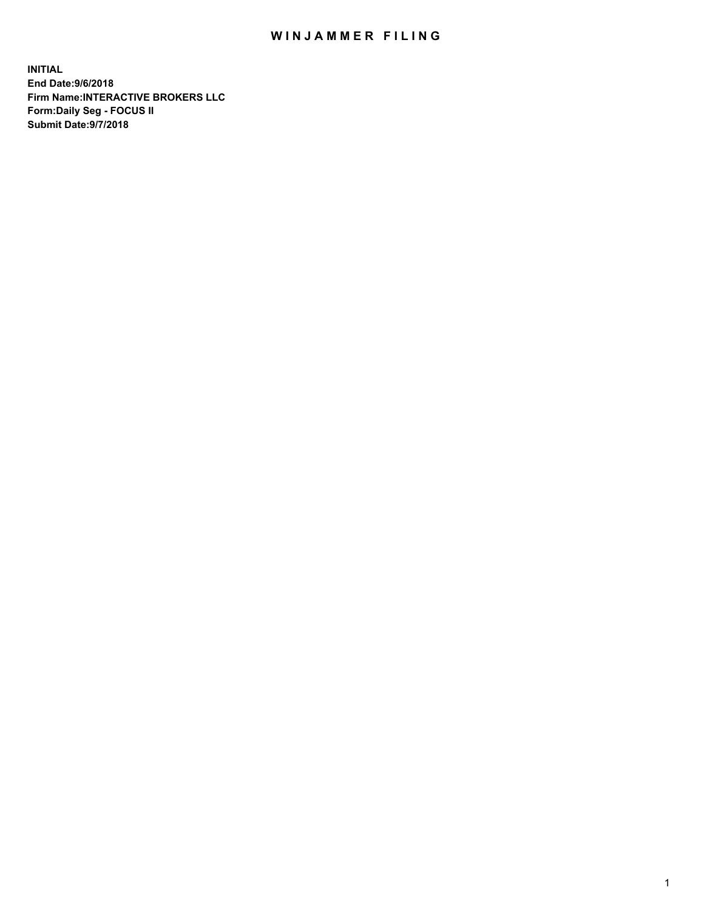## WIN JAMMER FILING

**INITIAL End Date:9/6/2018 Firm Name:INTERACTIVE BROKERS LLC Form:Daily Seg - FOCUS II Submit Date:9/7/2018**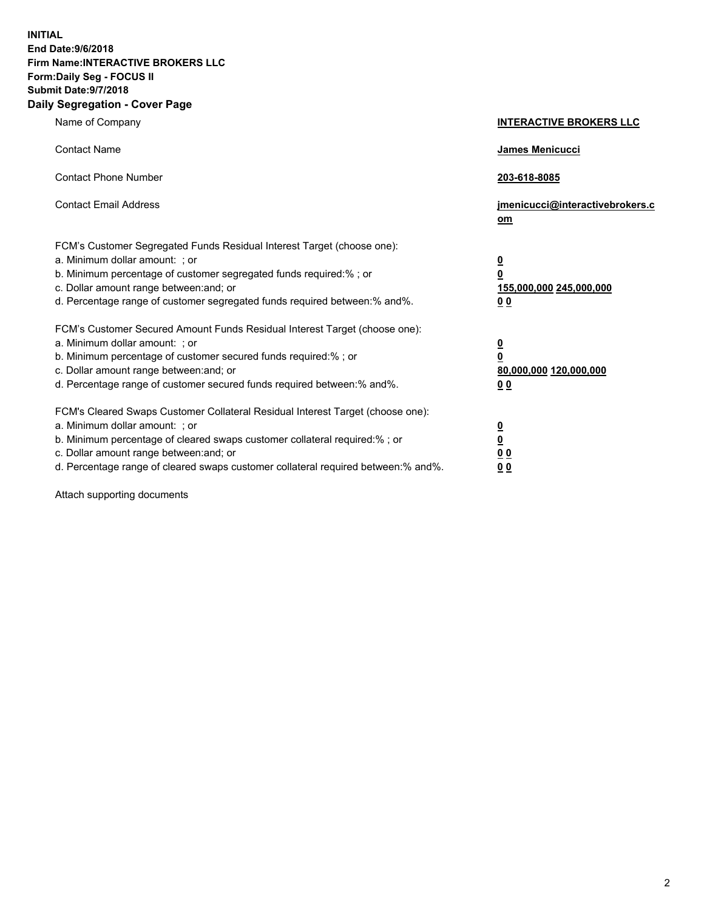**INITIAL End Date:9/6/2018 Firm Name:INTERACTIVE BROKERS LLC Form:Daily Seg - FOCUS II Submit Date:9/7/2018 Daily Segregation - Cover Page**

| Name of Company                                                                                                                                                                                                                                                                                                                | <b>INTERACTIVE BROKERS LLC</b>                                                                  |
|--------------------------------------------------------------------------------------------------------------------------------------------------------------------------------------------------------------------------------------------------------------------------------------------------------------------------------|-------------------------------------------------------------------------------------------------|
| <b>Contact Name</b>                                                                                                                                                                                                                                                                                                            | James Menicucci                                                                                 |
| <b>Contact Phone Number</b>                                                                                                                                                                                                                                                                                                    | 203-618-8085                                                                                    |
| <b>Contact Email Address</b>                                                                                                                                                                                                                                                                                                   | jmenicucci@interactivebrokers.c<br>$om$                                                         |
| FCM's Customer Segregated Funds Residual Interest Target (choose one):<br>a. Minimum dollar amount: ; or<br>b. Minimum percentage of customer segregated funds required:% ; or<br>c. Dollar amount range between: and; or<br>d. Percentage range of customer segregated funds required between:% and%.                         | $\overline{\mathbf{0}}$<br>$\overline{\mathbf{0}}$<br>155,000,000 245,000,000<br>0 <sub>0</sub> |
| FCM's Customer Secured Amount Funds Residual Interest Target (choose one):<br>a. Minimum dollar amount: ; or<br>b. Minimum percentage of customer secured funds required:%; or<br>c. Dollar amount range between: and; or<br>d. Percentage range of customer secured funds required between:% and%.                            | $\overline{\mathbf{0}}$<br>0<br>80,000,000 120,000,000<br>0 <sub>0</sub>                        |
| FCM's Cleared Swaps Customer Collateral Residual Interest Target (choose one):<br>a. Minimum dollar amount: ; or<br>b. Minimum percentage of cleared swaps customer collateral required:% ; or<br>c. Dollar amount range between: and; or<br>d. Percentage range of cleared swaps customer collateral required between:% and%. | $\frac{0}{0}$<br>0 <sub>0</sub><br>0 <sub>0</sub>                                               |

Attach supporting documents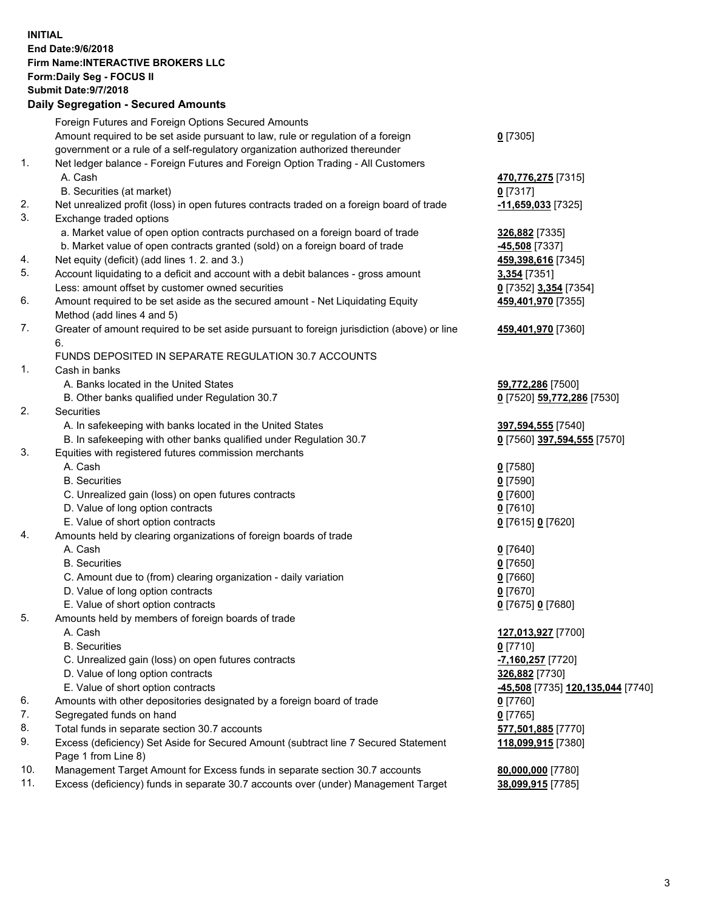## **INITIAL End Date:9/6/2018 Firm Name:INTERACTIVE BROKERS LLC Form:Daily Seg - FOCUS II Submit Date:9/7/2018 Daily Segregation - Secured Amounts**

|            | Foreign Futures and Foreign Options Secured Amounts                                         |                                                |
|------------|---------------------------------------------------------------------------------------------|------------------------------------------------|
|            | Amount required to be set aside pursuant to law, rule or regulation of a foreign            | $0$ [7305]                                     |
|            | government or a rule of a self-regulatory organization authorized thereunder                |                                                |
| 1.         | Net ledger balance - Foreign Futures and Foreign Option Trading - All Customers             |                                                |
|            | A. Cash                                                                                     | 470,776,275 [7315]                             |
|            | B. Securities (at market)                                                                   | 0 [7317]                                       |
| 2.         | Net unrealized profit (loss) in open futures contracts traded on a foreign board of trade   | -11,659,033 [7325]                             |
| 3.         | Exchange traded options                                                                     |                                                |
|            | a. Market value of open option contracts purchased on a foreign board of trade              | 326,882 [7335]                                 |
|            | b. Market value of open contracts granted (sold) on a foreign board of trade                | -45,508 [7337]                                 |
| 4.         | Net equity (deficit) (add lines 1.2. and 3.)                                                | 459,398,616 [7345]                             |
| 5.         | Account liquidating to a deficit and account with a debit balances - gross amount           | 3,354 [7351]                                   |
|            | Less: amount offset by customer owned securities                                            | 0 [7352] 3,354 [7354]                          |
| 6.         | Amount required to be set aside as the secured amount - Net Liquidating Equity              | 459,401,970 [7355]                             |
|            | Method (add lines 4 and 5)                                                                  |                                                |
| 7.         | Greater of amount required to be set aside pursuant to foreign jurisdiction (above) or line | 459,401,970 [7360]                             |
|            | 6.                                                                                          |                                                |
|            | FUNDS DEPOSITED IN SEPARATE REGULATION 30.7 ACCOUNTS                                        |                                                |
| 1.         | Cash in banks                                                                               |                                                |
|            | A. Banks located in the United States                                                       | 59,772,286 [7500]                              |
|            | B. Other banks qualified under Regulation 30.7                                              | 0 [7520] 59,772,286 [7530]                     |
| 2.         | Securities                                                                                  |                                                |
|            | A. In safekeeping with banks located in the United States                                   | 397,594,555 [7540]                             |
|            | B. In safekeeping with other banks qualified under Regulation 30.7                          | 0 [7560] 397,594,555 [7570]                    |
| 3.         | Equities with registered futures commission merchants                                       |                                                |
|            | A. Cash                                                                                     | $0$ [7580]                                     |
|            | <b>B.</b> Securities                                                                        | $0$ [7590]                                     |
|            | C. Unrealized gain (loss) on open futures contracts                                         | $0$ [7600]                                     |
|            | D. Value of long option contracts                                                           | $0$ [7610]                                     |
|            | E. Value of short option contracts                                                          | 0 [7615] 0 [7620]                              |
| 4.         | Amounts held by clearing organizations of foreign boards of trade                           |                                                |
|            | A. Cash                                                                                     | $0$ [7640]                                     |
|            | <b>B.</b> Securities                                                                        | $0$ [7650]                                     |
|            | C. Amount due to (from) clearing organization - daily variation                             | $0$ [7660]                                     |
|            | D. Value of long option contracts                                                           | $0$ [7670]                                     |
|            | E. Value of short option contracts                                                          | 0 [7675] 0 [7680]                              |
| 5.         | Amounts held by members of foreign boards of trade                                          |                                                |
|            | A. Cash                                                                                     | 127,013,927 [7700]                             |
|            | <b>B.</b> Securities                                                                        | $0$ [7710]                                     |
|            | C. Unrealized gain (loss) on open futures contracts                                         | -7,160,257 [7720]                              |
|            | D. Value of long option contracts                                                           | 326,882 [7730]                                 |
|            | E. Value of short option contracts                                                          | <mark>-45,508</mark> [7735] 120,135,044 [7740] |
| 6.         | Amounts with other depositories designated by a foreign board of trade                      | 0 [7760]                                       |
| 7.         | Segregated funds on hand                                                                    | $0$ [7765]                                     |
| 8.         | Total funds in separate section 30.7 accounts                                               | 577,501,885 [7770]                             |
| 9.         | Excess (deficiency) Set Aside for Secured Amount (subtract line 7 Secured Statement         | 118,099,915 [7380]                             |
|            | Page 1 from Line 8)                                                                         |                                                |
| 10.<br>11. | Management Target Amount for Excess funds in separate section 30.7 accounts                 | 80,000,000 [7780]                              |
|            | Excess (deficiency) funds in separate 30.7 accounts over (under) Management Target          | 38,099,915 [7785]                              |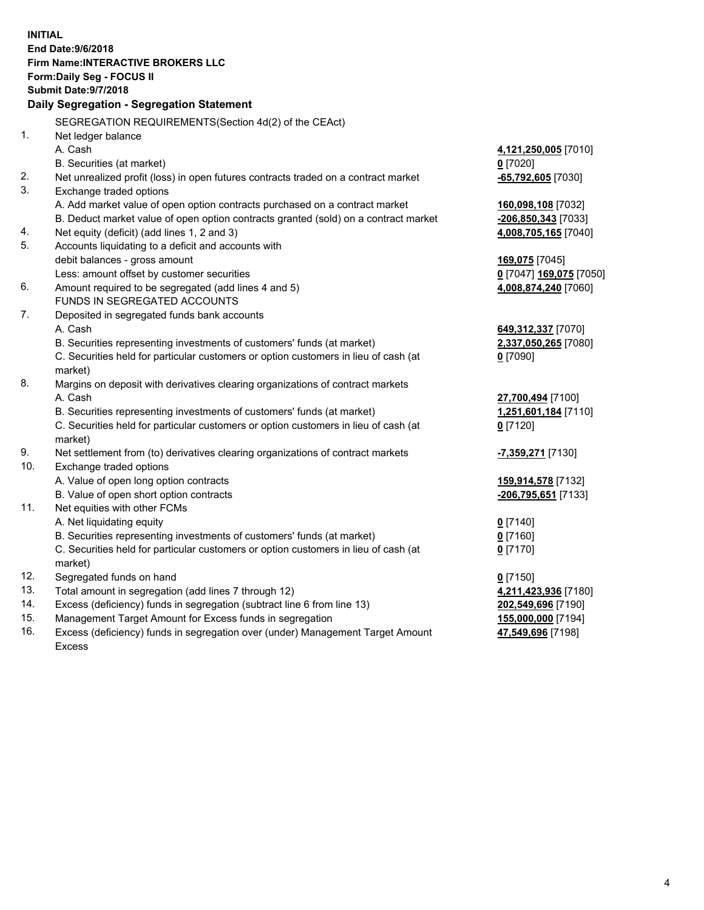| <b>End Date: 9/6/2018</b><br><b>Firm Name: INTERACTIVE BROKERS LLC</b><br>Form: Daily Seg - FOCUS II<br><b>Submit Date: 9/7/2018</b><br>Daily Segregation - Segregation Statement<br>SEGREGATION REQUIREMENTS(Section 4d(2) of the CEAct)<br>1.<br>Net ledger balance<br>A. Cash<br>4,121,250,005 [7010]<br>$0$ [7020]<br>B. Securities (at market)<br>2.<br>Net unrealized profit (loss) in open futures contracts traded on a contract market<br>-65,792,605 [7030]<br>3.<br>Exchange traded options<br>A. Add market value of open option contracts purchased on a contract market<br>160,098,108 [7032]<br>B. Deduct market value of open option contracts granted (sold) on a contract market<br>-206,850,343 [7033]<br>Net equity (deficit) (add lines 1, 2 and 3)<br>4.<br>4,008,705,165 [7040]<br>5.<br>Accounts liquidating to a deficit and accounts with<br>debit balances - gross amount<br>169,075 [7045]<br>Less: amount offset by customer securities<br>0 [7047] 169,075 [7050]<br>6.<br>Amount required to be segregated (add lines 4 and 5)<br>4,008,874,240 [7060]<br>FUNDS IN SEGREGATED ACCOUNTS<br>7.<br>Deposited in segregated funds bank accounts<br>A. Cash<br>649,312,337 [7070]<br>B. Securities representing investments of customers' funds (at market)<br>2,337,050,265 [7080] |
|---------------------------------------------------------------------------------------------------------------------------------------------------------------------------------------------------------------------------------------------------------------------------------------------------------------------------------------------------------------------------------------------------------------------------------------------------------------------------------------------------------------------------------------------------------------------------------------------------------------------------------------------------------------------------------------------------------------------------------------------------------------------------------------------------------------------------------------------------------------------------------------------------------------------------------------------------------------------------------------------------------------------------------------------------------------------------------------------------------------------------------------------------------------------------------------------------------------------------------------------------------------------------------------------------------------|
|                                                                                                                                                                                                                                                                                                                                                                                                                                                                                                                                                                                                                                                                                                                                                                                                                                                                                                                                                                                                                                                                                                                                                                                                                                                                                                               |
|                                                                                                                                                                                                                                                                                                                                                                                                                                                                                                                                                                                                                                                                                                                                                                                                                                                                                                                                                                                                                                                                                                                                                                                                                                                                                                               |
|                                                                                                                                                                                                                                                                                                                                                                                                                                                                                                                                                                                                                                                                                                                                                                                                                                                                                                                                                                                                                                                                                                                                                                                                                                                                                                               |
|                                                                                                                                                                                                                                                                                                                                                                                                                                                                                                                                                                                                                                                                                                                                                                                                                                                                                                                                                                                                                                                                                                                                                                                                                                                                                                               |
|                                                                                                                                                                                                                                                                                                                                                                                                                                                                                                                                                                                                                                                                                                                                                                                                                                                                                                                                                                                                                                                                                                                                                                                                                                                                                                               |
|                                                                                                                                                                                                                                                                                                                                                                                                                                                                                                                                                                                                                                                                                                                                                                                                                                                                                                                                                                                                                                                                                                                                                                                                                                                                                                               |
|                                                                                                                                                                                                                                                                                                                                                                                                                                                                                                                                                                                                                                                                                                                                                                                                                                                                                                                                                                                                                                                                                                                                                                                                                                                                                                               |
|                                                                                                                                                                                                                                                                                                                                                                                                                                                                                                                                                                                                                                                                                                                                                                                                                                                                                                                                                                                                                                                                                                                                                                                                                                                                                                               |
|                                                                                                                                                                                                                                                                                                                                                                                                                                                                                                                                                                                                                                                                                                                                                                                                                                                                                                                                                                                                                                                                                                                                                                                                                                                                                                               |
|                                                                                                                                                                                                                                                                                                                                                                                                                                                                                                                                                                                                                                                                                                                                                                                                                                                                                                                                                                                                                                                                                                                                                                                                                                                                                                               |
|                                                                                                                                                                                                                                                                                                                                                                                                                                                                                                                                                                                                                                                                                                                                                                                                                                                                                                                                                                                                                                                                                                                                                                                                                                                                                                               |
|                                                                                                                                                                                                                                                                                                                                                                                                                                                                                                                                                                                                                                                                                                                                                                                                                                                                                                                                                                                                                                                                                                                                                                                                                                                                                                               |
|                                                                                                                                                                                                                                                                                                                                                                                                                                                                                                                                                                                                                                                                                                                                                                                                                                                                                                                                                                                                                                                                                                                                                                                                                                                                                                               |
|                                                                                                                                                                                                                                                                                                                                                                                                                                                                                                                                                                                                                                                                                                                                                                                                                                                                                                                                                                                                                                                                                                                                                                                                                                                                                                               |
|                                                                                                                                                                                                                                                                                                                                                                                                                                                                                                                                                                                                                                                                                                                                                                                                                                                                                                                                                                                                                                                                                                                                                                                                                                                                                                               |
|                                                                                                                                                                                                                                                                                                                                                                                                                                                                                                                                                                                                                                                                                                                                                                                                                                                                                                                                                                                                                                                                                                                                                                                                                                                                                                               |
|                                                                                                                                                                                                                                                                                                                                                                                                                                                                                                                                                                                                                                                                                                                                                                                                                                                                                                                                                                                                                                                                                                                                                                                                                                                                                                               |
|                                                                                                                                                                                                                                                                                                                                                                                                                                                                                                                                                                                                                                                                                                                                                                                                                                                                                                                                                                                                                                                                                                                                                                                                                                                                                                               |
|                                                                                                                                                                                                                                                                                                                                                                                                                                                                                                                                                                                                                                                                                                                                                                                                                                                                                                                                                                                                                                                                                                                                                                                                                                                                                                               |
|                                                                                                                                                                                                                                                                                                                                                                                                                                                                                                                                                                                                                                                                                                                                                                                                                                                                                                                                                                                                                                                                                                                                                                                                                                                                                                               |
|                                                                                                                                                                                                                                                                                                                                                                                                                                                                                                                                                                                                                                                                                                                                                                                                                                                                                                                                                                                                                                                                                                                                                                                                                                                                                                               |
|                                                                                                                                                                                                                                                                                                                                                                                                                                                                                                                                                                                                                                                                                                                                                                                                                                                                                                                                                                                                                                                                                                                                                                                                                                                                                                               |
| C. Securities held for particular customers or option customers in lieu of cash (at<br>$0$ [7090]                                                                                                                                                                                                                                                                                                                                                                                                                                                                                                                                                                                                                                                                                                                                                                                                                                                                                                                                                                                                                                                                                                                                                                                                             |
| market)                                                                                                                                                                                                                                                                                                                                                                                                                                                                                                                                                                                                                                                                                                                                                                                                                                                                                                                                                                                                                                                                                                                                                                                                                                                                                                       |
| 8.<br>Margins on deposit with derivatives clearing organizations of contract markets                                                                                                                                                                                                                                                                                                                                                                                                                                                                                                                                                                                                                                                                                                                                                                                                                                                                                                                                                                                                                                                                                                                                                                                                                          |
| A. Cash<br>27,700,494 [7100]                                                                                                                                                                                                                                                                                                                                                                                                                                                                                                                                                                                                                                                                                                                                                                                                                                                                                                                                                                                                                                                                                                                                                                                                                                                                                  |
| B. Securities representing investments of customers' funds (at market)<br>1,251,601,184 [7110]                                                                                                                                                                                                                                                                                                                                                                                                                                                                                                                                                                                                                                                                                                                                                                                                                                                                                                                                                                                                                                                                                                                                                                                                                |
| C. Securities held for particular customers or option customers in lieu of cash (at<br>$0$ [7120]                                                                                                                                                                                                                                                                                                                                                                                                                                                                                                                                                                                                                                                                                                                                                                                                                                                                                                                                                                                                                                                                                                                                                                                                             |
| market)                                                                                                                                                                                                                                                                                                                                                                                                                                                                                                                                                                                                                                                                                                                                                                                                                                                                                                                                                                                                                                                                                                                                                                                                                                                                                                       |
| 9.<br>Net settlement from (to) derivatives clearing organizations of contract markets<br><mark>-7,359,271</mark> [7130]                                                                                                                                                                                                                                                                                                                                                                                                                                                                                                                                                                                                                                                                                                                                                                                                                                                                                                                                                                                                                                                                                                                                                                                       |
| 10.<br>Exchange traded options                                                                                                                                                                                                                                                                                                                                                                                                                                                                                                                                                                                                                                                                                                                                                                                                                                                                                                                                                                                                                                                                                                                                                                                                                                                                                |
| A. Value of open long option contracts<br>159,914,578 [7132]                                                                                                                                                                                                                                                                                                                                                                                                                                                                                                                                                                                                                                                                                                                                                                                                                                                                                                                                                                                                                                                                                                                                                                                                                                                  |
| B. Value of open short option contracts<br>-206,795,651 [7133]                                                                                                                                                                                                                                                                                                                                                                                                                                                                                                                                                                                                                                                                                                                                                                                                                                                                                                                                                                                                                                                                                                                                                                                                                                                |
| 11.<br>Net equities with other FCMs                                                                                                                                                                                                                                                                                                                                                                                                                                                                                                                                                                                                                                                                                                                                                                                                                                                                                                                                                                                                                                                                                                                                                                                                                                                                           |
| A. Net liquidating equity<br>$0$ [7140]                                                                                                                                                                                                                                                                                                                                                                                                                                                                                                                                                                                                                                                                                                                                                                                                                                                                                                                                                                                                                                                                                                                                                                                                                                                                       |
| B. Securities representing investments of customers' funds (at market)<br>$0$ [7160]                                                                                                                                                                                                                                                                                                                                                                                                                                                                                                                                                                                                                                                                                                                                                                                                                                                                                                                                                                                                                                                                                                                                                                                                                          |
| C. Securities held for particular customers or option customers in lieu of cash (at<br>$0$ [7170]                                                                                                                                                                                                                                                                                                                                                                                                                                                                                                                                                                                                                                                                                                                                                                                                                                                                                                                                                                                                                                                                                                                                                                                                             |
| market)<br>12.<br>Segregated funds on hand                                                                                                                                                                                                                                                                                                                                                                                                                                                                                                                                                                                                                                                                                                                                                                                                                                                                                                                                                                                                                                                                                                                                                                                                                                                                    |
| $0$ [7150]<br>13.<br>Total amount in segregation (add lines 7 through 12)<br>4,211,423,936 [7180]                                                                                                                                                                                                                                                                                                                                                                                                                                                                                                                                                                                                                                                                                                                                                                                                                                                                                                                                                                                                                                                                                                                                                                                                             |
| 14.<br>Excess (deficiency) funds in segregation (subtract line 6 from line 13)<br>202,549,696 [7190]                                                                                                                                                                                                                                                                                                                                                                                                                                                                                                                                                                                                                                                                                                                                                                                                                                                                                                                                                                                                                                                                                                                                                                                                          |
| 15.<br>Management Target Amount for Excess funds in segregation<br>155,000,000 [7194]                                                                                                                                                                                                                                                                                                                                                                                                                                                                                                                                                                                                                                                                                                                                                                                                                                                                                                                                                                                                                                                                                                                                                                                                                         |
| 16.<br>Excess (deficiency) funds in segregation over (under) Management Target Amount<br>47,549,696 [7198]                                                                                                                                                                                                                                                                                                                                                                                                                                                                                                                                                                                                                                                                                                                                                                                                                                                                                                                                                                                                                                                                                                                                                                                                    |

Excess